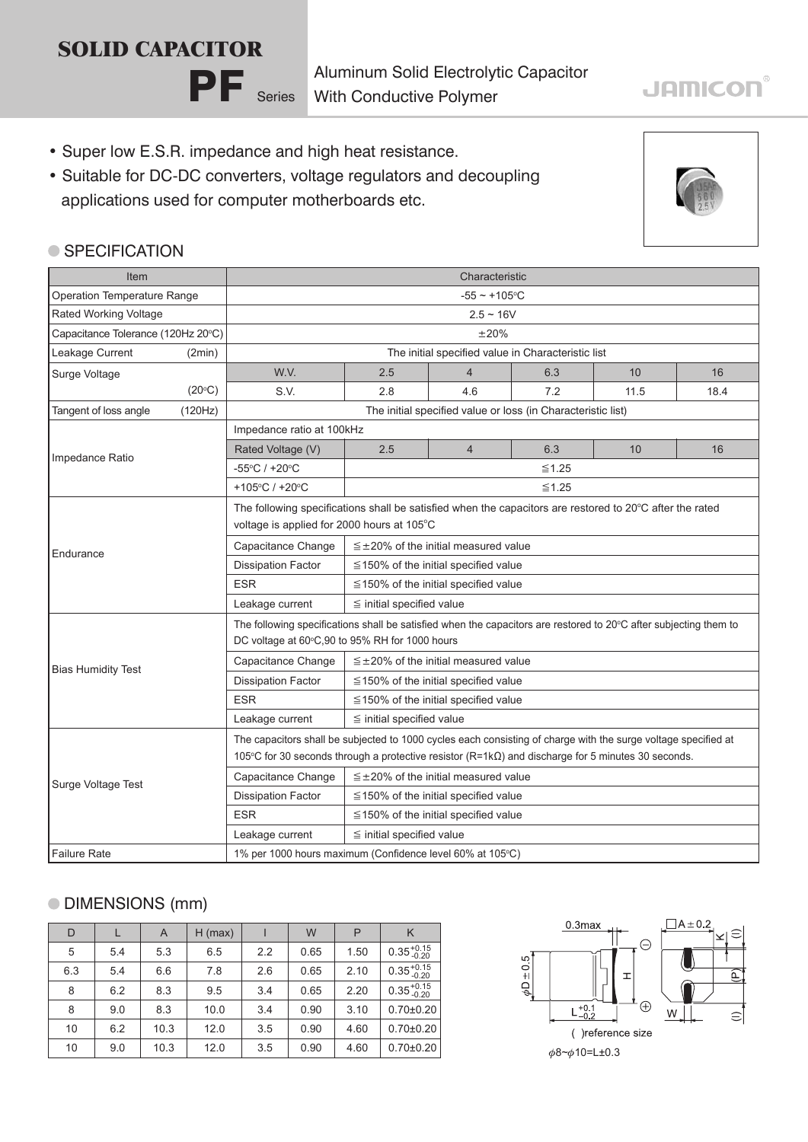# PF Series **SOLID CAPACITOR**

Aluminum Solid Electrolytic Capacitor With Conductive Polymer

- Super low E.S.R. impedance and high heat resistance.
- Suitable for DC-DC converters, voltage regulators and decoupling applications used for computer motherboards etc.



#### **SPECIFICATION**

| Item                               |                                                                         | Characteristic                                                                                                                                                                                                              |                                               |                |     |      |      |  |  |
|------------------------------------|-------------------------------------------------------------------------|-----------------------------------------------------------------------------------------------------------------------------------------------------------------------------------------------------------------------------|-----------------------------------------------|----------------|-----|------|------|--|--|
| Operation Temperature Range        |                                                                         | $-55 \sim +105$ °C                                                                                                                                                                                                          |                                               |                |     |      |      |  |  |
| Rated Working Voltage              |                                                                         | $2.5 \sim 16V$                                                                                                                                                                                                              |                                               |                |     |      |      |  |  |
| Capacitance Tolerance (120Hz 20°C) |                                                                         | $\pm 20\%$                                                                                                                                                                                                                  |                                               |                |     |      |      |  |  |
| Leakage Current<br>(2min)          |                                                                         | The initial specified value in Characteristic list                                                                                                                                                                          |                                               |                |     |      |      |  |  |
| Surge Voltage                      |                                                                         | W.V.                                                                                                                                                                                                                        | 2.5                                           | $\overline{4}$ | 6.3 | 10   | 16   |  |  |
|                                    | $(20^{\circ}C)$                                                         | S.V.                                                                                                                                                                                                                        | 2.8                                           | 4.6            | 7.2 | 11.5 | 18.4 |  |  |
| Tangent of loss angle              | The initial specified value or loss (in Characteristic list)<br>(120Hz) |                                                                                                                                                                                                                             |                                               |                |     |      |      |  |  |
|                                    |                                                                         | Impedance ratio at 100kHz                                                                                                                                                                                                   |                                               |                |     |      |      |  |  |
| Impedance Ratio                    |                                                                         | Rated Voltage (V)                                                                                                                                                                                                           | 2.5                                           | $\overline{4}$ | 6.3 | 10   | 16   |  |  |
|                                    |                                                                         | -55°C / +20°C                                                                                                                                                                                                               | $\leq 1.25$                                   |                |     |      |      |  |  |
|                                    |                                                                         | +105°C / +20°C                                                                                                                                                                                                              | $\leq 1.25$                                   |                |     |      |      |  |  |
|                                    |                                                                         | The following specifications shall be satisfied when the capacitors are restored to 20°C after the rated<br>voltage is applied for 2000 hours at 105°C                                                                      |                                               |                |     |      |      |  |  |
|                                    |                                                                         | Capacitance Change                                                                                                                                                                                                          | $\leq$ ±20% of the initial measured value     |                |     |      |      |  |  |
| Endurance                          |                                                                         | <b>Dissipation Factor</b>                                                                                                                                                                                                   | $\leq$ 150% of the initial specified value    |                |     |      |      |  |  |
|                                    |                                                                         | <b>ESR</b>                                                                                                                                                                                                                  | $\leq$ 150% of the initial specified value    |                |     |      |      |  |  |
|                                    |                                                                         | Leakage current                                                                                                                                                                                                             | $\leq$ initial specified value                |                |     |      |      |  |  |
| <b>Bias Humidity Test</b>          |                                                                         | The following specifications shall be satisfied when the capacitors are restored to 20°C after subjecting them to<br>DC voltage at 60°C,90 to 95% RH for 1000 hours                                                         |                                               |                |     |      |      |  |  |
|                                    |                                                                         | Capacitance Change                                                                                                                                                                                                          | $\leq \pm 20\%$ of the initial measured value |                |     |      |      |  |  |
|                                    |                                                                         | <b>Dissipation Factor</b>                                                                                                                                                                                                   | $\leq$ 150% of the initial specified value    |                |     |      |      |  |  |
|                                    |                                                                         | <b>ESR</b>                                                                                                                                                                                                                  | $\leq$ 150% of the initial specified value    |                |     |      |      |  |  |
|                                    |                                                                         | Leakage current                                                                                                                                                                                                             | $\leq$ initial specified value                |                |     |      |      |  |  |
| Surge Voltage Test                 |                                                                         | The capacitors shall be subjected to 1000 cycles each consisting of charge with the surge voltage specified at<br>105°C for 30 seconds through a protective resistor $(R=1k\Omega)$ and discharge for 5 minutes 30 seconds. |                                               |                |     |      |      |  |  |
|                                    |                                                                         | Capacitance Change                                                                                                                                                                                                          | $\leq \pm 20\%$ of the initial measured value |                |     |      |      |  |  |
|                                    |                                                                         | <b>Dissipation Factor</b>                                                                                                                                                                                                   | $\leq$ 150% of the initial specified value    |                |     |      |      |  |  |
|                                    |                                                                         | <b>ESR</b>                                                                                                                                                                                                                  | $\leq$ 150% of the initial specified value    |                |     |      |      |  |  |
|                                    |                                                                         | Leakage current                                                                                                                                                                                                             | $\leq$ initial specified value                |                |     |      |      |  |  |
| <b>Failure Rate</b>                |                                                                         | 1% per 1000 hours maximum (Confidence level 60% at 105°C)                                                                                                                                                                   |                                               |                |     |      |      |  |  |

#### DIMENSIONS (mm)

| D   |     | A    | $H$ (max) |     | W    | P    | K                      |
|-----|-----|------|-----------|-----|------|------|------------------------|
| 5   | 5.4 | 5.3  | 6.5       | 2.2 | 0.65 | 1.50 | $0.35_{-0.20}^{+0.15}$ |
| 6.3 | 5.4 | 6.6  | 7.8       | 2.6 | 0.65 | 2.10 | $0.35_{-0.20}^{+0.15}$ |
| 8   | 6.2 | 8.3  | 9.5       | 3.4 | 0.65 | 2.20 | $0.35_{-0.20}^{+0.15}$ |
| 8   | 9.0 | 8.3  | 10.0      | 3.4 | 0.90 | 3.10 | $0.70{\pm}0.20$        |
| 10  | 6.2 | 10.3 | 12.0      | 3.5 | 0.90 | 4.60 | $0.70{\pm}0.20$        |
| 10  | 9.0 | 10.3 | 12.0      | 3.5 | 0.90 | 4.60 | $0.70{\pm}0.20$        |



## **JAMICON®**